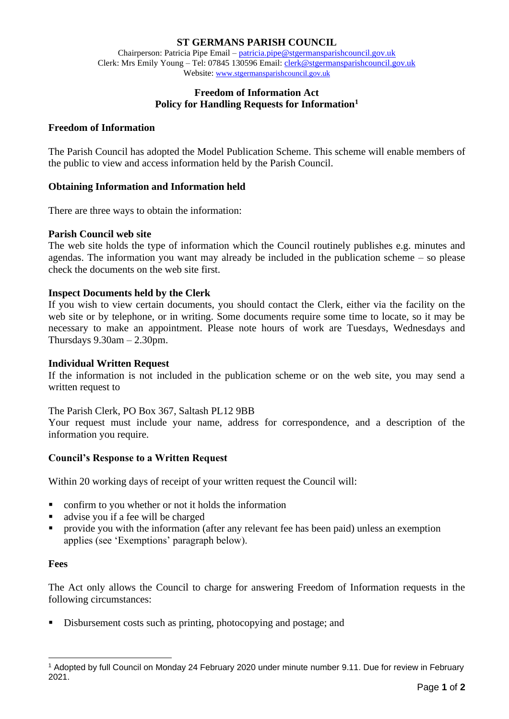# **ST GERMANS PARISH COUNCIL**

Chairperson: Patricia Pipe Email – [patricia.pipe@stgermansparishcouncil.gov.uk](mailto:patricia.pipe@stgermansparishcouncil.gov.uk) Clerk: Mrs Emily Young – Tel: 07845 130596 Email[: clerk@stgermansparishcouncil.gov.uk](mailto:clerk@stgermansparishcouncil.gov.uk) Website: [www.stgermansparishcouncil.gov.uk](http://www.stgermansparishcouncil.gov.uk/)

# **Freedom of Information Act Policy for Handling Requests for Information<sup>1</sup>**

#### **Freedom of Information**

The Parish Council has adopted the Model Publication Scheme. This scheme will enable members of the public to view and access information held by the Parish Council.

# **Obtaining Information and Information held**

There are three ways to obtain the information:

### **Parish Council web site**

The web site holds the type of information which the Council routinely publishes e.g. minutes and agendas. The information you want may already be included in the publication scheme – so please check the documents on the web site first.

### **Inspect Documents held by the Clerk**

If you wish to view certain documents, you should contact the Clerk, either via the facility on the web site or by telephone, or in writing. Some documents require some time to locate, so it may be necessary to make an appointment. Please note hours of work are Tuesdays, Wednesdays and Thursdays  $9.30$ am  $- 2.30$ pm.

#### **Individual Written Request**

If the information is not included in the publication scheme or on the web site, you may send a written request to

The Parish Clerk, PO Box 367, Saltash PL12 9BB

Your request must include your name, address for correspondence, and a description of the information you require.

# **Council's Response to a Written Request**

Within 20 working days of receipt of your written request the Council will:

- confirm to you whether or not it holds the information
- advise you if a fee will be charged
- **•** provide you with the information (after any relevant fee has been paid) unless an exemption applies (see 'Exemptions' paragraph below).

### **Fees**

The Act only allows the Council to charge for answering Freedom of Information requests in the following circumstances:

■ Disbursement costs such as printing, photocopying and postage; and

<sup>1</sup> Adopted by full Council on Monday 24 February 2020 under minute number 9.11. Due for review in February 2021.